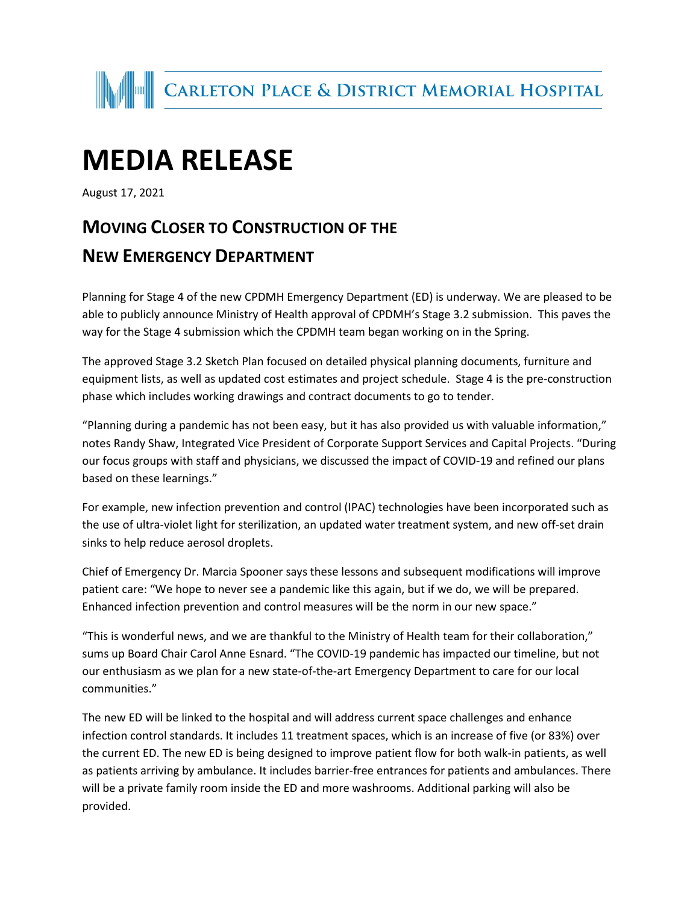

## **MEDIA RELEASE**

August 17, 2021

## **MOVING CLOSER TO CONSTRUCTION OF THE NEW EMERGENCY DEPARTMENT**

Planning for Stage 4 of the new CPDMH Emergency Department (ED) is underway. We are pleased to be able to publicly announce Ministry of Health approval of CPDMH's Stage 3.2 submission. This paves the way for the Stage 4 submission which the CPDMH team began working on in the Spring.

The approved Stage 3.2 Sketch Plan focused on detailed physical planning documents, furniture and equipment lists, as well as updated cost estimates and project schedule. Stage 4 is the pre-construction phase which includes working drawings and contract documents to go to tender.

"Planning during a pandemic has not been easy, but it has also provided us with valuable information," notes Randy Shaw, Integrated Vice President of Corporate Support Services and Capital Projects. "During our focus groups with staff and physicians, we discussed the impact of COVID-19 and refined our plans based on these learnings."

For example, new infection prevention and control (IPAC) technologies have been incorporated such as the use of ultra-violet light for sterilization, an updated water treatment system, and new off-set drain sinks to help reduce aerosol droplets.

Chief of Emergency Dr. Marcia Spooner says these lessons and subsequent modifications will improve patient care: "We hope to never see a pandemic like this again, but if we do, we will be prepared. Enhanced infection prevention and control measures will be the norm in our new space."

"This is wonderful news, and we are thankful to the Ministry of Health team for their collaboration," sums up Board Chair Carol Anne Esnard. "The COVID-19 pandemic has impacted our timeline, but not our enthusiasm as we plan for a new state-of-the-art Emergency Department to care for our local communities."

The new ED will be linked to the hospital and will address current space challenges and enhance infection control standards. It includes 11 treatment spaces, which is an increase of five (or 83%) over the current ED. The new ED is being designed to improve patient flow for both walk-in patients, as well as patients arriving by ambulance. It includes barrier-free entrances for patients and ambulances. There will be a private family room inside the ED and more washrooms. Additional parking will also be provided.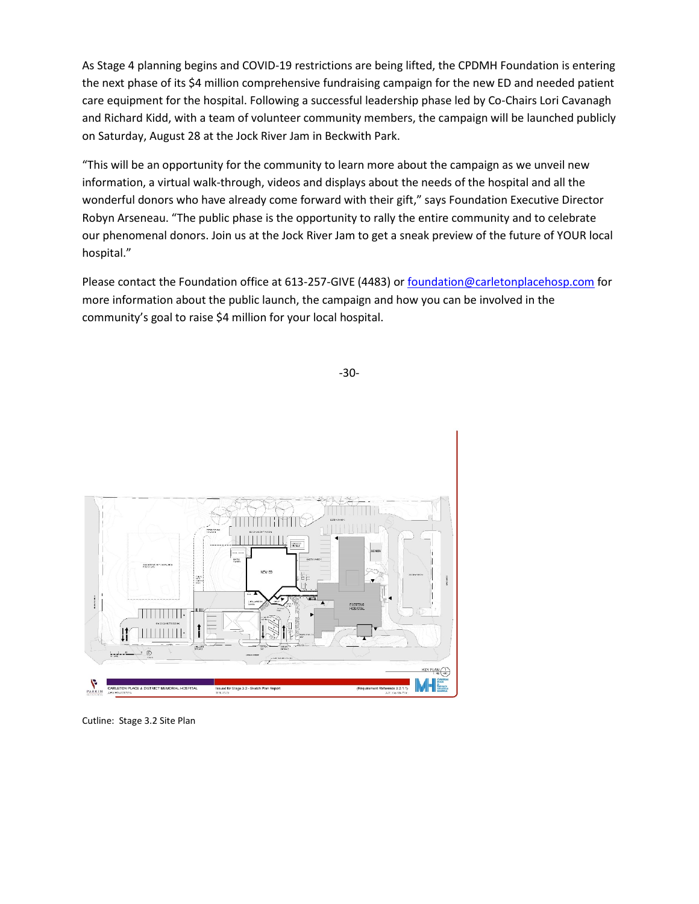As Stage 4 planning begins and COVID-19 restrictions are being lifted, the CPDMH Foundation is entering the next phase of its \$4 million comprehensive fundraising campaign for the new ED and needed patient care equipment for the hospital. Following a successful leadership phase led by Co-Chairs Lori Cavanagh and Richard Kidd, with a team of volunteer community members, the campaign will be launched publicly on Saturday, August 28 at the Jock River Jam in Beckwith Park.

"This will be an opportunity for the community to learn more about the campaign as we unveil new information, a virtual walk-through, videos and displays about the needs of the hospital and all the wonderful donors who have already come forward with their gift," says Foundation Executive Director Robyn Arseneau. "The public phase is the opportunity to rally the entire community and to celebrate our phenomenal donors. Join us at the Jock River Jam to get a sneak preview of the future of YOUR local hospital."

Please contact the Foundation office at 613-257-GIVE (4483) or [foundation@carletonplacehosp.com](mailto:foundation@carletonplacehosp.com) for more information about the public launch, the campaign and how you can be involved in the community's goal to raise \$4 million for your local hospital.



Cutline: Stage 3.2 Site Plan

-30-